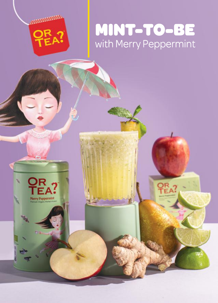

OR



**AWWWWWW.**